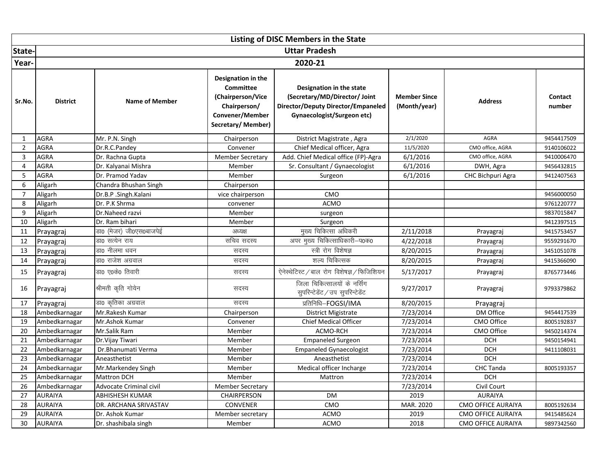|                | Listing of DISC Members in the State |                         |                                                                                                                     |                                                                                                                                      |                                     |                           |                   |  |  |  |
|----------------|--------------------------------------|-------------------------|---------------------------------------------------------------------------------------------------------------------|--------------------------------------------------------------------------------------------------------------------------------------|-------------------------------------|---------------------------|-------------------|--|--|--|
| State-         |                                      |                         |                                                                                                                     | <b>Uttar Pradesh</b>                                                                                                                 |                                     |                           |                   |  |  |  |
| Year-          |                                      | 2020-21                 |                                                                                                                     |                                                                                                                                      |                                     |                           |                   |  |  |  |
| Sr.No.         | <b>District</b>                      | <b>Name of Member</b>   | Designation in the<br><b>Committee</b><br>(Chairperson/Vice<br>Chairperson/<br>Convener/Member<br>Secretary/Member) | Designation in the state<br>(Secretary/MD/Director/ Joint<br><b>Director/Deputy Director/Empaneled</b><br>Gynaecologist/Surgeon etc) | <b>Member Since</b><br>(Month/year) | <b>Address</b>            | Contact<br>number |  |  |  |
| 1              | AGRA                                 | Mr. P.N. Singh          | Chairperson                                                                                                         | District Magistrate, Agra                                                                                                            | 2/1/2020                            | AGRA                      | 9454417509        |  |  |  |
| $\overline{2}$ | AGRA                                 | Dr.R.C.Pandey           | Convener                                                                                                            | Chief Medical officer, Agra                                                                                                          | 11/5/2020                           | CMO office, AGRA          | 9140106022        |  |  |  |
| 3              | <b>AGRA</b>                          | Dr. Rachna Gupta        | <b>Member Secretary</b>                                                                                             | Add. Chief Medical office (FP)-Agra                                                                                                  | 6/1/2016                            | CMO office, AGRA          | 9410006470        |  |  |  |
| $\overline{4}$ | AGRA                                 | Dr. Kalyanai Mishra     | Member                                                                                                              | Sr. Consultant / Gynaecologist                                                                                                       | 6/1/2016                            | DWH, Agra                 | 9456432815        |  |  |  |
| 5              | <b>AGRA</b>                          | Dr. Pramod Yadav        | Member                                                                                                              | Surgeon                                                                                                                              | 6/1/2016                            | CHC Bichpuri Agra         | 9412407563        |  |  |  |
| 6              | Aligarh                              | Chandra Bhushan Singh   | Chairperson                                                                                                         |                                                                                                                                      |                                     |                           |                   |  |  |  |
| $\overline{7}$ | Aligarh                              | Dr.B.P.Singh.Kalani     | vice chairperson                                                                                                    | CMO                                                                                                                                  |                                     |                           | 9456000050        |  |  |  |
| 8              | Aligarh                              | Dr. P.K Shrma           | convener                                                                                                            | <b>ACMO</b>                                                                                                                          |                                     |                           | 9761220777        |  |  |  |
| 9              | Aligarh                              | Dr.Naheed razvi         | Member                                                                                                              | surgeon                                                                                                                              |                                     |                           | 9837015847        |  |  |  |
| 10             | Aligarh                              | Dr. Ram bihari          | Member                                                                                                              | Surgeon                                                                                                                              |                                     |                           | 9412397515        |  |  |  |
| 11             | Prayagraj                            | डा0 (मेजर) जी0एस0बाजपेई | अध्यक्ष                                                                                                             | मुख्य चिकित्सा अधिकरी                                                                                                                | 2/11/2018                           | Prayagraj                 | 9415753457        |  |  |  |
| 12             | Prayagraj                            | डा0 सत्येन राय          | सचिव सदस्य                                                                                                          | अपर मुख्य चिकित्साधिकारी-प0क0                                                                                                        | 4/22/2018                           | Prayagraj                 | 9559291670        |  |  |  |
| 13             | Prayagraj                            | डा0 नीलमा धवन           | सदस्य                                                                                                               | स्त्री रोग विशेषज्ञ                                                                                                                  | 8/20/2015                           | Prayagraj                 | 3451051078        |  |  |  |
| 14             | Prayagraj                            | डा0 राजेश अग्रवाल       | सदस्य                                                                                                               | शल्य चिकित्सक                                                                                                                        | 8/20/2015                           | Prayagraj                 | 9415366090        |  |  |  |
| 15             | Prayagraj                            | डा0 ए0के0 तिवारी        | सदस्य                                                                                                               | ऐनेस्थेटिस्ट / बाल रोग विशेषज्ञ / फिजिशियन                                                                                           | 5/17/2017                           | Prayagraj                 | 8765773446        |  |  |  |
| 16             | Prayagraj                            | श्रीमती कृति गोयेन      | सदस्य                                                                                                               | जिला चिकित्सालयों के नर्सिंग<br>सुपरिन्टेडेंट / उप सुपरिन्टेडेंट                                                                     | 9/27/2017                           | Prayagraj                 | 9793379862        |  |  |  |
| 17             | Prayagraj                            | डा0 कृतिका अग्रवाल      | सदस्य                                                                                                               | प्रतिनिधि–FOGSI/IMA                                                                                                                  | 8/20/2015                           | Prayagraj                 |                   |  |  |  |
| 18             | Ambedkarnagar                        | Mr.Rakesh Kumar         | Chairperson                                                                                                         | <b>District Migistrate</b>                                                                                                           | 7/23/2014                           | DM Office                 | 9454417539        |  |  |  |
| 19             | Ambedkarnagar                        | Mr.Ashok Kumar          | Convener                                                                                                            | <b>Chief Medical Officer</b>                                                                                                         | 7/23/2014                           | CMO Office                | 8005192837        |  |  |  |
| 20             | Ambedkarnagar                        | Mr.Salik Ram            | Member                                                                                                              | ACMO-RCH                                                                                                                             | 7/23/2014                           | <b>CMO Office</b>         | 9450214374        |  |  |  |
| 21             | Ambedkarnagar                        | Dr. Vijay Tiwari        | Member                                                                                                              | <b>Empaneled Surgeon</b>                                                                                                             | 7/23/2014                           | <b>DCH</b>                | 9450154941        |  |  |  |
| 22             | Ambedkarnagar                        | Dr.Bhanumati Verma      | Member                                                                                                              | <b>Empaneled Gynaecologist</b>                                                                                                       | 7/23/2014                           | <b>DCH</b>                | 9411108031        |  |  |  |
| 23             | Ambedkarnagar                        | Aneasthetist            | Member                                                                                                              | Aneasthetist                                                                                                                         | 7/23/2014                           | <b>DCH</b>                |                   |  |  |  |
| 24             | Ambedkarnagar                        | Mr.Markendey Singh      | Member                                                                                                              | Medical officer Incharge                                                                                                             | 7/23/2014                           | <b>CHC Tanda</b>          | 8005193357        |  |  |  |
| 25             | Ambedkarnagar                        | <b>Mattron DCH</b>      | Member                                                                                                              | Mattron                                                                                                                              | 7/23/2014                           | <b>DCH</b>                |                   |  |  |  |
| 26             | Ambedkarnagar                        | Advocate Criminal civil | <b>Member Secretary</b>                                                                                             |                                                                                                                                      | 7/23/2014                           | Civil Court               |                   |  |  |  |
| 27             | <b>AURAIYA</b>                       | <b>ABHISHESH KUMAR</b>  | CHAIRPERSON                                                                                                         | <b>DM</b>                                                                                                                            | 2019                                | <b>AURAIYA</b>            |                   |  |  |  |
| 28             | <b>AURAIYA</b>                       | DR. ARCHANA SRIVASTAV   | <b>CONVENER</b>                                                                                                     | CMO                                                                                                                                  | MAR. 2020                           | <b>CMO OFFICE AURAIYA</b> | 8005192634        |  |  |  |
| 29             | <b>AURAIYA</b>                       | Dr. Ashok Kumar         | Member secretary                                                                                                    | <b>ACMO</b>                                                                                                                          | 2019                                | CMO OFFICE AURAIYA        | 9415485624        |  |  |  |
| 30             | <b>AURAIYA</b>                       | Dr. shashibala singh    | Member                                                                                                              | <b>ACMO</b>                                                                                                                          | 2018                                | <b>CMO OFFICE AURAIYA</b> | 9897342560        |  |  |  |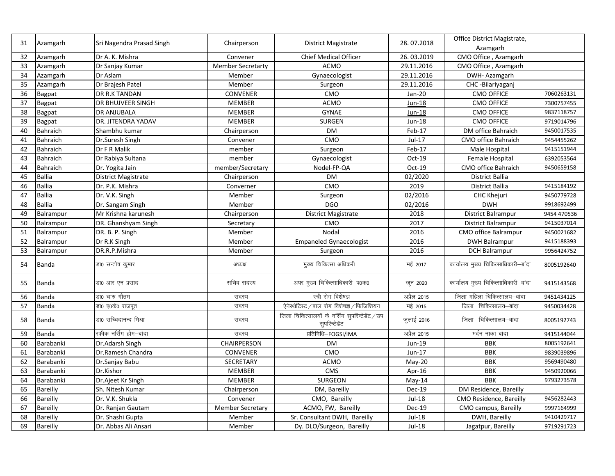| 31 | Azamgarh        | Sri Nagendra Prasad Singh  | Chairperson              | <b>District Magistrate</b>                                       | 28.07.2018         | Office District Magistrate,<br>Azamgarh |             |
|----|-----------------|----------------------------|--------------------------|------------------------------------------------------------------|--------------------|-----------------------------------------|-------------|
| 32 | Azamgarh        | Dr A. K. Mishra            | Convener                 | <b>Chief Medical Officer</b>                                     | 26.03.2019         | CMO Office, Azamgarh                    |             |
| 33 | Azamgarh        | Dr Sanjay Kumar            | <b>Member Secretarty</b> | <b>ACMO</b>                                                      | 29.11.2016         | CMO Office, Azamgarh                    |             |
| 34 | Azamgarh        | Dr Aslam                   | Member                   | Gynaecologist                                                    | 29.11.2016         | DWH-Azamgarh                            |             |
| 35 | Azamgarh        | Dr Brajesh Patel           | Member                   | Surgeon                                                          | 29.11.2016         | CHC-Bilariyaganj                        |             |
| 36 | <b>Bagpat</b>   | DR R.K TANDAN              | <b>CONVENER</b>          | CMO                                                              | Jan-20             | <b>CMO OFFICE</b>                       | 7060263131  |
| 37 | <b>Bagpat</b>   | DR BHUJVEER SINGH          | <b>MEMBER</b>            | <b>ACMO</b>                                                      | Jun-18             | <b>CMO OFFICE</b>                       | 7300757455  |
| 38 | <b>Bagpat</b>   | <b>DR ANJUBALA</b>         | <b>MEMBER</b>            | <b>GYNAE</b>                                                     | Jun-18             | <b>CMO OFFICE</b>                       | 9837118757  |
| 39 | <b>Bagpat</b>   | DR. JITENDRA YADAV         | <b>MEMBER</b>            | <b>SURGEN</b>                                                    | <b>Jun-18</b>      | <b>CMO OFFICE</b>                       | 9719014796  |
| 40 | <b>Bahraich</b> | Shambhu kumar              | Chairperson              | <b>DM</b>                                                        | Feb-17             | DM office Bahraich                      | 9450017535  |
| 41 | Bahraich        | Dr.Suresh Singh            | Convener                 | CMO                                                              | Jul-17             | CMO office Bahraich                     | 9454455262  |
| 42 | <b>Bahraich</b> | Dr F R Malik               | member                   | Surgeon                                                          | Feb-17             | Male Hospital                           | 9415151944  |
| 43 | <b>Bahraich</b> | Dr Rabiya Sultana          | member                   | Gynaecologist                                                    | $Oct-19$           | Female Hospital                         | 6392053564  |
| 44 | Bahraich        | Dr. Yogita Jain            | member/Secretary         | Nodel-FP-QA                                                      | Oct-19             | CMO office Bahraich                     | 9450659158  |
| 45 | <b>Ballia</b>   | <b>District Magistrate</b> | Chairperson              | DM                                                               | 02/2020            | District Ballia                         |             |
| 46 | <b>Ballia</b>   | Dr. P.K. Mishra            | Converner                | CMO                                                              | 2019               | District Ballia                         | 9415184192  |
| 47 | <b>Ballia</b>   | Dr. V.K. Singh             | Member                   | Surgeon                                                          | 02/2016            | CHC Khejuri                             | 9450779728  |
| 48 | <b>Ballia</b>   | Dr. Sangam Singh           | Member                   | <b>DGO</b>                                                       | 02/2016            | <b>DWH</b>                              | 9918692499  |
| 49 | Balrampur       | Mr Krishna karunesh        | Chairperson              | District Magistrate                                              | 2018               | District Balrampur                      | 9454 470536 |
| 50 | Balrampur       | DR. Ghanshyam Singh        | Secretary                | CMO                                                              | 2017               | District Balrampur                      | 9415037014  |
| 51 | Balrampur       | DR. B. P. Singh            | Member                   | Nodal                                                            | 2016               | CMO office Balrampur                    | 9450021682  |
| 52 | Balrampur       | Dr R.K Singh               | Member                   | <b>Empaneled Gynaecologist</b>                                   | 2016               | <b>DWH Balrampur</b>                    | 9415188393  |
| 53 | Balrampur       | DR.R.P.Mishra              | Member                   | Surgeon                                                          | 2016               | <b>DCH Balrampur</b>                    | 9956424752  |
| 54 | Banda           | डा0 सन्तोष कुमार           | अध्यक्ष                  | मुख्य चिकित्सा अधिकरी                                            | मई 2017            | कार्यालय मुख्य चिकित्साधिकारी-बांदा     | 8005192640  |
| 55 | Banda           | डा0 आर एन प्रसाद           | सचिव सदस्य               | अपर मुख्य चिकित्साधिकारी-प0क0                                    | जून 2020           | कार्यालय मुख्य चिकित्साधिकारी-बांदा     | 9415143568  |
| 56 | <b>Banda</b>    | डा0 चारु गौतम              | सदस्य                    | स्त्री रोग विशेषज्ञ                                              | अप्रैल 2015        | जिला महिला चिकित्सालय-बांदा             | 9451434125  |
| 57 | Banda           | डा0 ए0के0 राजपूत           | सदस्य                    | ऐनेस्थेटिस्ट / बाल रोग विशेषज्ञ / फिजिशियन                       | मई 2015            | जिला चिकित्सालय-बांदा                   | 9450034428  |
| 58 | Banda           | डा0 सच्चिदानन्द मिश्रा     | सदस्य                    | जिला चिकित्सालयों के नर्सिंग सुपरिन्टेडेंट / उप<br>सुपरिन्टेडेंट | जुलाई 2016         | जिला चिकित्सालय-बांदा                   | 8005192743  |
| 59 | <b>Banda</b>    | रफीक नर्सिंग होम–बांदा     | सदस्य                    | प्रतिनिधि-FOGSI/IMA                                              | <u>अप्रैल 2015</u> | मर्दन नाका बांदा                        | 9415144044  |
| 60 | Barabanki       | Dr.Adarsh Singh            | CHAIRPERSON              | <b>DM</b>                                                        | Jun-19             | <b>BBK</b>                              | 8005192641  |
| 61 | Barabanki       | Dr.Ramesh Chandra          | <b>CONVENER</b>          | CMO                                                              | Jun-17             | <b>BBK</b>                              | 9839039896  |
| 62 | Barabanki       | Dr.Sanjay Babu             | <b>SECRETARY</b>         | <b>ACMO</b>                                                      | $May-20$           | <b>BBK</b>                              | 9569490480  |
| 63 | Barabanki       | Dr.Kishor                  | <b>MEMBER</b>            | <b>CMS</b>                                                       | Apr-16             | <b>BBK</b>                              | 9450920066  |
| 64 | Barabanki       | Dr.Ajeet Kr Singh          | MEMBER                   | <b>SURGEON</b>                                                   | May-14             | <b>BBK</b>                              | 9793273578  |
| 65 | Bareilly        | Sh. Nitesh Kumar           | Chairperson              | DM, Bareilly                                                     | <b>Dec-19</b>      | DM Residence, Bareilly                  |             |
| 66 | Bareilly        | Dr. V.K. Shukla            | Convener                 | CMO, Bareilly                                                    | Jul-18             | CMO Residence, Bareilly                 | 9456282443  |
| 67 | Bareilly        | Dr. Ranjan Gautam          | <b>Member Secretary</b>  | ACMO, FW, Bareilly                                               | <b>Dec-19</b>      | CMO campus, Bareilly                    | 9997164999  |
| 68 | <b>Bareilly</b> | Dr. Shashi Gupta           | Member                   | Sr. Consultant DWH, Bareilly                                     | Jul-18             | DWH, Bareilly                           | 9410429717  |
| 69 | Bareilly        | Dr. Abbas Ali Ansari       | Member                   | Dy. DLO/Surgeon, Bareilly                                        | Jul-18             | Jagatpur, Bareilly                      | 9719291723  |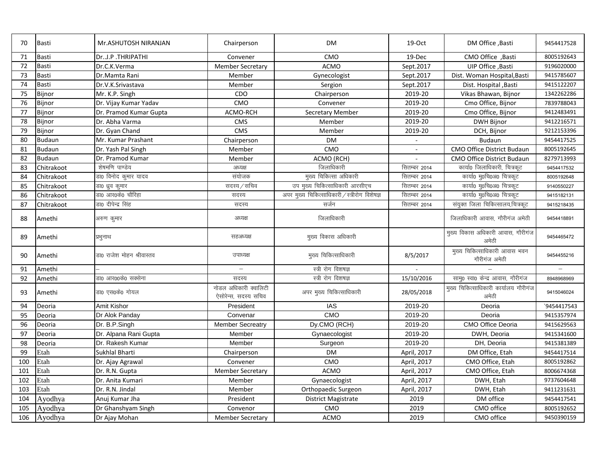| 70  | <b>Basti</b>  | Mr.ASHUTOSH NIRANJAN      | Chairperson                                   | <b>DM</b>                                     | 19-Oct                   | DM Office , Basti                              | 9454417528  |
|-----|---------------|---------------------------|-----------------------------------------------|-----------------------------------------------|--------------------------|------------------------------------------------|-------------|
| 71  | <b>Basti</b>  | DrJ.P.THRIPATHI           | Convener                                      | CMO                                           | 19-Dec                   | CMO Office, Basti                              | 8005192643  |
| 72  | <b>Basti</b>  | Dr.C.K.Verma              | <b>Member Secretary</b>                       | <b>ACMO</b>                                   | Sept.2017                | UIP Office, Basti                              | 9196020000  |
| 73  | <b>Basti</b>  | Dr.Mamta Rani             | Member                                        | Gynecologist                                  | Sept.2017                | Dist. Woman Hospital, Basti                    | 9415785607  |
| 74  | <b>Basti</b>  | Dr.V.K.Srivastava         | Member                                        | Sergion                                       | Sept.2017                | Dist. Hospital , Basti                         | 9415122207  |
| 75  | Bijnor        | Mr. K.P. Singh            | CDO                                           | Chairperson                                   | 2019-20                  | Vikas Bhawan, Bijnor                           | 1342262286  |
| 76  | Bijnor        | Dr. Vijay Kumar Yadav     | CMO                                           | Convener                                      | 2019-20                  | Cmo Office, Bijnor                             | 7839788043  |
| 77  | Bijnor        | Dr. Pramod Kumar Gupta    | ACMO-RCH                                      | <b>Secretary Member</b>                       | 2019-20                  | Cmo Office, Bijnor                             | 9412483491  |
| 78  | Bijnor        | Dr. Abha Varma            | CMS                                           | Member                                        | 2019-20                  | DWH Bijnor                                     | 9412216571  |
| 79  | Bijnor        | Dr. Gyan Chand            | <b>CMS</b>                                    | Member                                        | 2019-20                  | DCH, Bijnor                                    | 9212153396  |
| 80  | Budaun        | Mr. Kumar Prashant        | Chairperson                                   | <b>DM</b>                                     | $\overline{\phantom{a}}$ | <b>Budaun</b>                                  | 9454417525  |
| 81  | <b>Budaun</b> | Dr. Yash Pal Singh        | Member                                        | CMO                                           |                          | CMO Office District Budaun                     | 8005192645  |
| 82  | Budaun        | Dr. Pramod Kumar          | Member                                        | ACMO (RCH)                                    |                          | <b>CMO Office District Budaun</b>              | 8279713993  |
| 83  | Chitrakoot    | शेषमणि पाण्डेय            | अध्यक्ष                                       | जिलाधिकारी                                    | सितम्बर 2014             | कार्या0 जिलाधिकारी, चित्रकूट                   | 9454417532  |
| 84  | Chitrakoot    | डा0 विनोद कुमार यादव      | संयोजक                                        | मुख्य चिकित्सा अधिकारी                        | सितम्बर 2014             | कार्या0 मु0चि0अ0 चित्रकूट                      | 8005192648  |
| 85  | Chitrakoot    | डा0 ध्रुव कुमार           | सदस्य / सचिव                                  | उप मुख्य चिकित्साधिकारी आरसीएच                | सितम्बर 2014             | कार्या0 मृ0चि0अ0 चित्रकूट                      | 9140550227  |
| 86  | Chitrakoot    | डा0 आर0के0 चौरिहा         | सदस्य                                         | अपर मुख्य चिकित्साधिकारी / स्त्रीरोग विशेषज्ञ | <u>सितम्बर 2014</u>      | कार्या0 मु0चि0अ0 चित्रकूट                      | 9415182131  |
| 87  | Chitrakoot    | डा0 दीपेन्द्र सिंह        | सदस्य                                         | सर्जन                                         | सितम्बर 2014             | संयुक्त जिला चिकित्सालय,चित्रकूट               | 9415218435  |
| 88  | Amethi        | अरुण कुमार                | अध्यक्ष                                       | जिलाधिकारी                                    |                          | जिलाधिकारी आवास, गौरीगंज अमेठी                 | 9454418891  |
| 89  | Amethi        | प्रभुनाथ                  | सहअध्यक्ष                                     | मुख्य विकास अधिकारी                           |                          | मुख्य विकास अधिकारी आवास, गौरीगंज<br>अमेठी     | 9454465472  |
| 90  | Amethi        | डा0 राजेश मोहन श्रीवास्तव | उपाध्यक्ष                                     | मुख्य चिकित्साधिकारी                          | 8/5/2017                 | मुख्य चिकित्साधिकारी आवास भवन<br>गौरीगंज अमेठी | 9454455216  |
| 91  | Amethi        |                           |                                               | स्त्री रोग विशषज्ञ                            |                          |                                                |             |
| 92  | Amethi        | डा0 आर00के0 सक्सेना       | सदस्य                                         | स्त्री रोग विशषज्ञ                            | 15/10/2016               | सामु0 स्वा0 केन्द्र आवास, गौरीगंज              | 8948968969  |
| 93  | Amethi        | डा0 एस0के0 गोयल           | नोडल अधिकारी क्वालिटी<br>ऐसोरेन्स, सदस्य सचिव | अपर मुख्य चिकित्साधिकारी                      | 28/05/2018               | मुख्य चिकित्साधिकारी कार्यालय गौरीगंज<br>अमेठी | 9415046024  |
| 94  | Deoria        | <b>Amit Kishor</b>        | President                                     | <b>IAS</b>                                    | 2019-20                  | Deoria                                         | `9454417543 |
| 95  | Deoria        | Dr Alok Panday            | Convenar                                      | CMO                                           | 2019-20                  | Deoria                                         | 9415357974  |
| 96  | Deoria        | Dr. B.P.Singh             | <b>Member Secreatry</b>                       | Dy.CMO (RCH)                                  | 2019-20                  | CMO Office Deoria                              | 9415629563  |
| 97  | Deoria        | Dr. Alpana Rani Gupta     | Member                                        | Gynaecologist                                 | 2019-20                  | DWH, Deoria                                    | 9415341600  |
| 98  | Deoria        | Dr. Rakesh Kumar          | Member                                        | Surgeon                                       | 2019-20                  | DH, Deoria                                     | 9415381389  |
| 99  | Etah          | Sukhlal Bharti            | Chairperson                                   | <b>DM</b>                                     | April, 2017              | DM Office, Etah                                | 9454417514  |
| 100 | Etah          | Dr. Ajay Agrawal          | Convener                                      | CMO                                           | April, 2017              | CMO Office, Etah                               | 8005192862  |
| 101 | Etah          | Dr. R.N. Gupta            | <b>Member Secretary</b>                       | <b>ACMO</b>                                   | April, 2017              | CMO Office, Etah                               | 8006674368  |
| 102 | Etah          | Dr. Anita Kumari          | Member                                        | Gynaecologist                                 | April, 2017              | DWH, Etah                                      | 9737604648  |
| 103 | Etah          | Dr. R.N. Jindal           | Member                                        | Orthopaedic Surgeon                           | April, 2017              | DWH, Etah                                      | 9411231631  |
| 104 | Ayodhya       | Anuj Kumar Jha            | President                                     | District Magistrate                           | 2019                     | DM office                                      | 9454417541  |
| 105 | Ayodhya       | Dr Ghanshyam Singh        | Convenor                                      | CMO                                           | 2019                     | CMO office                                     | 8005192652  |
| 106 | Ayodhya       | Dr Ajay Mohan             | <b>Member Secretary</b>                       | <b>ACMO</b>                                   | 2019                     | CMO office                                     | 9450390159  |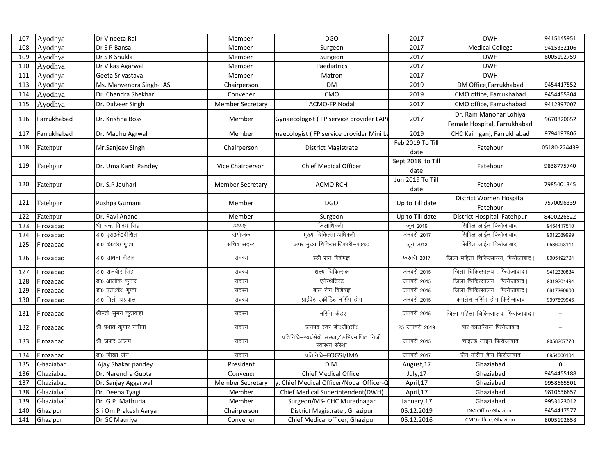| 107 | Ayodhya     | Dr Vineeta Rai          | Member                  | <b>DGO</b>                                                        | 2017                      | <b>DWH</b>                                             | 9415145951        |
|-----|-------------|-------------------------|-------------------------|-------------------------------------------------------------------|---------------------------|--------------------------------------------------------|-------------------|
| 108 | Ayodhya     | Dr S P Bansal           | Member                  | Surgeon                                                           | 2017                      | <b>Medical College</b>                                 | 9415332106        |
| 109 | Ayodhya     | Dr S K Shukla           | Member                  | Surgeon                                                           | 2017                      | <b>DWH</b>                                             | 8005192759        |
| 110 | Ayodhya     | Dr Vikas Agarwal        | Member                  | Paediatrics                                                       | 2017                      | <b>DWH</b>                                             |                   |
| 111 | Ayodhya     | Geeta Srivastava        | Member                  | Matron                                                            | 2017                      | <b>DWH</b>                                             |                   |
| 113 | Ayodhya     | Ms. Manvendra Singh-IAS | Chairperson             | <b>DM</b>                                                         | 2019                      | DM Office, Farrukhabad                                 | 9454417552        |
| 114 | Ayodhya     | Dr. Chandra Shekhar     | Convener                | CMO                                                               | 2019                      | CMO office, Farrukhabad                                | 9454455304        |
| 115 | Ayodhya     | Dr. Dalveer Singh       | <b>Member Secretary</b> | ACMO-FP Nodal                                                     | 2017                      | CMO office, Farrukhabad                                | 9412397007        |
| 116 | Farrukhabad | Dr. Krishna Boss        | Member                  | Gynaecologist (FP service provider LAP)                           | 2017                      | Dr. Ram Manohar Lohiya<br>Female Hospital, Farrukhabad | 9670820652        |
| 117 | Farrukhabad | Dr. Madhu Agrwal        | Member                  | naecologist (FP service provider Mini La                          | 2019                      | CHC Kaimganj, Farrukhabad                              | 9794197806        |
| 118 | Fatehpur    | Mr.Sanjeev Singh        | Chairperson             | <b>District Magistrate</b>                                        | Feb 2019 To Till<br>date  | Fatehpur                                               | 05180-224439      |
| 119 | Fatehpur    | Dr. Uma Kant Pandey     | Vice Chairperson        | <b>Chief Medical Officer</b>                                      | Sept 2018 to Till<br>date | Fatehpur                                               | 9838775740        |
| 120 | Fatehpur    | Dr. S.P Jauhari         | <b>Member Secretary</b> | <b>ACMO RCH</b>                                                   | Jun 2019 To Till<br>date  | Fatehpur                                               | 7985401345        |
| 121 | Fatehpur    | Pushpa Gurnani          | Member                  | <b>DGO</b>                                                        | Up to Till date           | District Women Hospital<br>Fatehpur                    | 7570096339        |
| 122 | Fatehpur    | Dr. Ravi Anand          | Member                  | Surgeon                                                           | Up to Till date           | District Hospital Fatehpur                             | 8400226622        |
| 123 | Firozabad   | श्री चन्द्र विजय सिंह   | अध्यक्ष                 | जिलाधिकरी                                                         | जून 2019                  | सिविल लाईन फिरोजाबाद।                                  | 9454417510        |
| 124 | Firozabad   | डा0 एस0के0दीक्षित       | संयोजक                  | मुख्य चिकित्सा अधिकरी                                             | जनवरी 2017                | सिविल लाईन फिरोजाबाद।                                  | 9012089999        |
| 125 | Firozabad   | डा0 के0के0 गुप्ता       | सचिव सदस्य              | अपर मुख्य चिकित्साधिकारी-प0क0                                     | जून 2013                  | सिविल लाईन फिरोजाबाद।                                  | 9536093111        |
| 126 | Firozabad   | डा0 साधना रौठार         | सदस्य                   | स्त्री रोग विशेषज्ञ                                               | फरवरी 2017                | जिला महिला चिकित्सालय, फिरोजाबाद                       | 8005192704        |
| 127 | Firozabad   | डा0 राजवीर सिंह         | सदस्य                   | शल्य चिकित्सक                                                     | जनवरी 2015                | जिला चिकित्सालय, फिरोजाबाद।                            | 9412330834        |
| 128 | Firozabad   | डा0 आलोक कुमार          | सदस्य                   | ऐनेस्थेटिस्ट                                                      | जनवरी 2015                | जिला चिकित्सालय, फिरोजाबाद।                            | 9319201494        |
| 129 | Firozabad   | डा0 एल0के0 गुप्ता       | सदस्य                   | बाल रोग विशेषज्ञ                                                  | जनवरी 2015                | जिला चिकित्सालय, फिरोजाबाद।                            | 9917369900        |
| 130 | Firozabad   | डा0 मिली अग्रवाल        | सदस्य                   | प्राईवेट एकीडिट नर्सिग होम                                        | जनवरी 2015                | कमलेश नर्सिग होम फिरोजाबाद                             | 9997599945        |
| 131 | Firozabad   | श्रीमती सुमन कुशवाहा    | सदस्य                   | नर्सिग केंडर                                                      | जनवरी 2015                | जिला महिला चिकित्सालय, फिरोजाबाद                       |                   |
| 132 | Firozabad   | श्री प्रभात कुमार नगीना | सदस्य                   | जनपद स्तर डी0जी0सी0                                               | 25 जनवरी 2019             | बार काउन्सिल फिरोजाबाद                                 | $\qquad \qquad -$ |
| 133 | Firozabad   | श्री जफर आलम            | सदस्य                   | प्रतिनिधि-स्वयंसेवी संस्था / अभिप्रमाणित निजी<br>स्वास्थ्य संस्था | जनवरी 2015                | चाइल्ड लाइन फिरोजाबाद                                  | 9058207770        |
| 134 | Firozabad   | डा0 शिखा जैन            | सदस्य                   | प्रतिनिधि-FOGSI/IMA                                               | जनवरी 2017                | जैन नर्सिग हेाम फिरोजाबाद                              | 8954000104        |
| 135 | Ghaziabad   | Ajay Shakar pandey      | President               | D.M.                                                              | August, 17                | Ghaziabad                                              | $\mathbf 0$       |
| 136 | Ghaziabad   | Dr. Narendra Gupta      | Convener                | Chief Medical Officer                                             | July,17                   | Ghaziabad                                              | 9454455188        |
| 137 | Ghaziabad   | Dr. Sanjay Aggarwal     | <b>Member Secretary</b> | v. Chief Medical Officer/Nodal Officer-C                          | April,17                  | Ghaziabad                                              | 9958665501        |
| 138 | Ghaziabad   | Dr. Deepa Tyagi         | Member                  | Chief Medical Superintendent(DWH)                                 | April,17                  | Ghaziabad                                              | 9810636857        |
| 139 | Ghaziabad   | Dr. G.P. Mathuria       | Member                  | Surgeon/MS- CHC Muradnagar                                        | January, 17               | Ghaziabad                                              | 9953123012        |
| 140 | Ghazipur    | Sri Om Prakesh Aarya    | Chairperson             | District Magistrate, Ghazipur                                     | 05.12.2019                | DM Office Ghazipur                                     | 9454417577        |
| 141 | Ghazipur    | Dr GC Mauriya           | Convener                | Chief Medical officer, Ghazipur                                   | 05.12.2016                | CMO office, Ghazipur                                   | 8005192658        |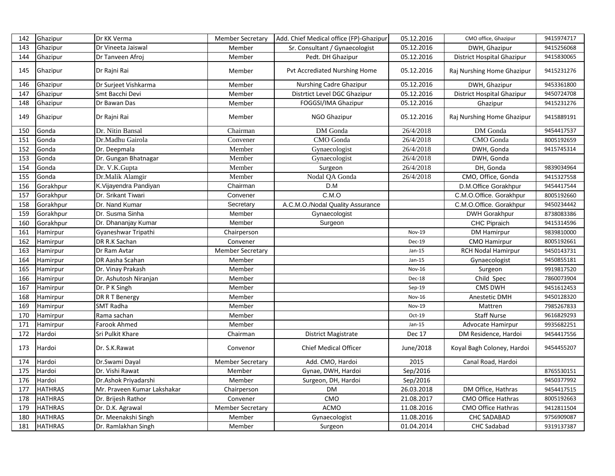| 142 | Ghazipur       | Dr KK Verma                 | <b>Member Secretary</b> | Add. Chief Medical office (FP)-Ghazipur | 05.12.2016    | CMO office, Ghazipur       | 9415974717 |
|-----|----------------|-----------------------------|-------------------------|-----------------------------------------|---------------|----------------------------|------------|
| 143 | Ghazipur       | Dr Vineeta Jaiswal          | Member                  | Sr. Consultant / Gynaecologist          | 05.12.2016    | DWH, Ghazipur              | 9415256068 |
| 144 | Ghazipur       | Dr Tanveen Afroj            | Member                  | Pedt. DH Ghazipur                       | 05.12.2016    | District Hospital Ghazipur | 9415830065 |
| 145 | Ghazipur       | Dr Rajni Rai                | Member                  | Pvt Accrediated Nurshing Home           | 05.12.2016    | Raj Nurshing Home Ghazipur | 9415231276 |
| 146 | Ghazipur       | Dr Surjeet Vishkarma        | Member                  | Nurshing Cadre Ghazipur                 | 05.12.2016    | DWH, Ghazipur              | 9453361800 |
| 147 | Ghazipur       | Smt Bacchi Devi             | Member                  | Distrtict Level DGC Ghazipur            | 05.12.2016    | District Hospital Ghazipur | 9450724708 |
| 148 | Ghazipur       | Dr Bawan Das                | Member                  | FOGGSI/IMA Ghazipur                     | 05.12.2016    | Ghazipur                   | 9415231276 |
| 149 | Ghazipur       | Dr Rajni Rai                | Member                  | NGO Ghazipur                            | 05.12.2016    | Raj Nurshing Home Ghazipur | 9415889191 |
| 150 | Gonda          | Dr. Nitin Bansal            | Chairman                | DM Gonda                                | 26/4/2018     | DM Gonda                   | 9454417537 |
| 151 | Gonda          | Dr.Madhu Gairola            | Convener                | CMO Gonda                               | 26/4/2018     | CMO Gonda                  | 8005192659 |
| 152 | Gonda          | Dr. Deepmala                | Member                  | Gynaecologist                           | 26/4/2018     | DWH, Gonda                 | 9415745314 |
| 153 | Gonda          | Dr. Gungan Bhatnagar        | Member                  | Gynaecologist                           | 26/4/2018     | DWH, Gonda                 |            |
| 154 | Gonda          | Dr. V.K.Gupta               | Member                  | Surgeon                                 | 26/4/2018     | DH, Gonda                  | 9839034964 |
| 155 | Gonda          | Dr.Malik Alamgir            | Member                  | Nodal QA Gonda                          | 26/4/2018     | CMO, Office, Gonda         | 9415327558 |
| 156 | Gorakhpur      | K.Vijayendra Pandiyan       | Chairman                | D.M                                     |               | D.M.Office Gorakhpur       | 9454417544 |
| 157 | Gorakhpur      | Dr. Srikant Tiwari          | Convener                | C.M.O                                   |               | C.M.O.Office. Gorakhpur    | 8005192660 |
| 158 | Gorakhpur      | Dr. Nand Kumar              | Secretary               | A.C.M.O./Nodal Quality Assurance        |               | C.M.O.Office. Gorakhpur    | 9450234442 |
| 159 | Gorakhpur      | Dr. Susma Sinha             | Member                  | Gynaecologist                           |               | <b>DWH Gorakhpur</b>       | 8738083386 |
| 160 | Gorakhpur      | Dr. Dhananjay Kumar         | Member                  | Surgeon                                 |               | CHC Pipraich               | 9415314596 |
| 161 | Hamirpur       | Gyaneshwar Tripathi         | Chairperson             |                                         | Nov-19        | <b>DM Hamirpur</b>         | 9839810000 |
| 162 | Hamirpur       | DR R.K Sachan               | Convener                |                                         | Dec-19        | <b>CMO Hamirpur</b>        | 8005192661 |
| 163 | Hamirpur       | Dr Ram Avtar                | <b>Member Secretary</b> |                                         | $Jan-15$      | RCH Nodal Hamirpur         | 9450143731 |
| 164 | Hamirpur       | DR Aasha Scahan             | Member                  |                                         | $Jan-15$      | Gynaecologist              | 9450855181 |
| 165 | Hamirpur       | Dr. Vinay Prakash           | Member                  |                                         | <b>Nov-16</b> | Surgeon                    | 9919817520 |
| 166 | Hamirpur       | Dr. Ashutosh Niranjan       | Member                  |                                         | Dec-18        | Child Spec                 | 7860073904 |
| 167 | Hamirpur       | Dr. P K Singh               | Member                  |                                         | Sep-19        | CMS DWH                    | 9451612453 |
| 168 | Hamirpur       | DR R T Benergy              | Member                  |                                         | Nov-16        | Anestetic DMH              | 9450128320 |
| 169 | Hamirpur       | <b>SMT Radha</b>            | Member                  |                                         | <b>Nov-19</b> | Mattren                    | 7985267833 |
| 170 | Hamirpur       | Rama sachan                 | Member                  |                                         | Oct-19        | <b>Staff Nurse</b>         | 9616829293 |
| 171 | Hamirpur       | <b>Farook Ahmed</b>         | Member                  |                                         | $Jan-15$      | Advocate Hamirpur          | 9935682251 |
| 172 | Hardoi         | Sri Pulkit Khare            | Chairman                | District Magistrate                     | <b>Dec 17</b> | DM Residence, Hardoi       | 9454417556 |
| 173 | Hardoi         | Dr. S.K.Rawat               | Convenor                | <b>Chief Medical Officer</b>            | June/2018     | Koyal Bagh Coloney, Hardoi | 9454455207 |
| 174 | Hardoi         | Dr.Swami Dayal              | Member Secretary        | Add. CMO, Hardoi                        | 2015          | Canal Road, Hardoi         |            |
| 175 | Hardoi         | Dr. Vishi Rawat             | Member                  | Gynae, DWH, Hardoi                      | Sep/2016      |                            | 8765530151 |
| 176 | Hardoi         | Dr.Ashok Priyadarshi        | Member                  | Surgeon, DH, Hardoi                     | Sep/2016      |                            | 9450377992 |
| 177 | <b>HATHRAS</b> | Mr. Praveen Kumar Lakshakar | Chairperson             | <b>DM</b>                               | 26.03.2018    | DM Office, Hathras         | 9454417515 |
| 178 | <b>HATHRAS</b> | Dr. Brijesh Rathor          | Convener                | CMO                                     | 21.08.2017    | CMO Office Hathras         | 8005192663 |
| 179 | <b>HATHRAS</b> | Dr. D.K. Agrawal            | <b>Member Secretary</b> | <b>ACMO</b>                             | 11.08.2016    | <b>CMO Office Hathras</b>  | 9412811504 |
| 180 | <b>HATHRAS</b> | Dr. Meenakshi Singh         | Member                  | Gynaecologist                           | 11.08.2016    | <b>CHC SADABAD</b>         | 9756909087 |
| 181 | <b>HATHRAS</b> | Dr. Ramlakhan Singh         | Member                  | Surgeon                                 | 01.04.2014    | <b>CHC Sadabad</b>         | 9319137387 |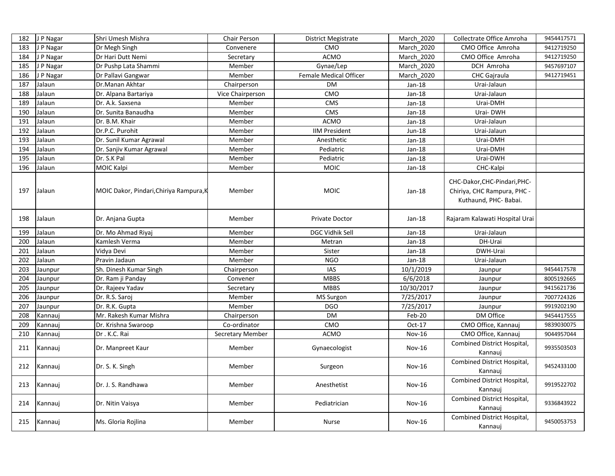| 182 | J P Nagar | Shri Umesh Mishra                       | Chair Person            | <b>District Megistrate</b> | March 2020    | Collectrate Office Amroha                                                            | 9454417571 |
|-----|-----------|-----------------------------------------|-------------------------|----------------------------|---------------|--------------------------------------------------------------------------------------|------------|
| 183 | J P Nagar | Dr Megh Singh                           | Convenere               | <b>CMO</b>                 | March 2020    | CMO Office Amroha                                                                    | 9412719250 |
| 184 | J P Nagar | Dr Hari Dutt Nemi                       | Secretary               | <b>ACMO</b>                | March 2020    | CMO Office Amroha                                                                    | 9412719250 |
| 185 | J P Nagar | Dr Pushp Lata Shammi                    | Member                  | Gynae/Lep                  | March 2020    | DCH Amroha                                                                           | 9457697107 |
| 186 | J P Nagar | Dr Pallavi Gangwar                      | Member                  | Female Medical Officer     | March 2020    | <b>CHC</b> Gajraula                                                                  | 9412719451 |
| 187 | Jalaun    | Dr.Manan Akhtar                         | Chairperson             | <b>DM</b>                  | $Jan-18$      | Urai-Jalaun                                                                          |            |
| 188 | Jalaun    | Dr. Alpana Bartariya                    | Vice Chairperson        | CMO                        | $Jan-18$      | Urai-Jalaun                                                                          |            |
| 189 | Jalaun    | Dr. A.k. Saxsena                        | Member                  | CMS                        | Jan-18        | Urai-DMH                                                                             |            |
| 190 | Jalaun    | Dr. Sunita Banaudha                     | Member                  | <b>CMS</b>                 | $Jan-18$      | Urai-DWH                                                                             |            |
| 191 | Jalaun    | Dr. B.M. Khair                          | Member                  | <b>ACMO</b>                | Jan-18        | Urai-Jalaun                                                                          |            |
| 192 | Jalaun    | Dr.P.C. Purohit                         | Member                  | <b>IIM President</b>       | Jun-18        | Urai-Jalaun                                                                          |            |
| 193 | Jalaun    | Dr. Sunil Kumar Agrawal                 | Member                  | Anesthetic                 | Jan-18        | Urai-DMH                                                                             |            |
| 194 | Jalaun    | Dr. Sanjiv Kumar Agrawal                | Member                  | Pediatric                  | Jan-18        | Urai-DMH                                                                             |            |
| 195 | Jalaun    | Dr. S.K Pal                             | Member                  | Pediatric                  | $Jan-18$      | Urai-DWH                                                                             |            |
| 196 | Jalaun    | MOIC Kalpi                              | Member                  | <b>MOIC</b>                | $Jan-18$      | CHC-Kalpi                                                                            |            |
| 197 | Jalaun    | MOIC Dakor, Pindari, Chiriya Rampura, K | Member                  | <b>MOIC</b>                | $Jan-18$      | CHC-Dakor, CHC-Pindari, PHC-<br>Chiriya, CHC Rampura, PHC -<br>Kuthaund, PHC- Babai. |            |
| 198 | Jalaun    | Dr. Anjana Gupta                        | Member                  | Private Doctor             | $Jan-18$      | Rajaram Kalawati Hospital Urai                                                       |            |
| 199 | Jalaun    | Dr. Mo Ahmad Riyaj                      | Member                  | DGC Vidhik Sell            | Jan-18        | Urai-Jalaun                                                                          |            |
| 200 | Jalaun    | Kamlesh Verma                           | Member                  | Metran                     | Jan-18        | DH-Urai                                                                              |            |
| 201 | Jalaun    | Vidya Devi                              | Member                  | Sister                     | $Jan-18$      | DWH-Urai                                                                             |            |
| 202 | Jalaun    | Pravin Jadaun                           | Member                  | <b>NGO</b>                 | $Jan-18$      | Urai-Jalaun                                                                          |            |
| 203 | Jaunpur   | Sh. Dinesh Kumar Singh                  | Chairperson             | <b>IAS</b>                 | 10/1/2019     | Jaunpur                                                                              | 9454417578 |
| 204 | Jaunpur   | Dr. Ram ji Panday                       | Convener                | <b>MBBS</b>                | 6/6/2018      | Jaunpur                                                                              | 8005192665 |
| 205 | Jaunpur   | Dr. Rajeev Yadav                        | Secretary               | <b>MBBS</b>                | 10/30/2017    | Jaunpur                                                                              | 9415621736 |
| 206 | Jaunpur   | Dr. R.S. Saroj                          | Member                  | <b>MS</b> Surgon           | 7/25/2017     | Jaunpur                                                                              | 7007724326 |
| 207 | Jaunpur   | Dr. R.K. Gupta                          | Member                  | <b>DGO</b>                 | 7/25/2017     | Jaunpur                                                                              | 9919202190 |
| 208 | Kannauj   | Mr. Rakesh Kumar Mishra                 | Chairperson             | <b>DM</b>                  | Feb-20        | DM Office                                                                            | 9454417555 |
| 209 | Kannauj   | Dr. Krishna Swaroop                     | Co-ordinator            | CMO                        | $Oct-17$      | CMO Office, Kannauj                                                                  | 9839030075 |
| 210 | Kannauj   | Dr. K.C. Rai                            | <b>Secretary Member</b> | <b>ACMO</b>                | <b>Nov-16</b> | CMO Office, Kannauj                                                                  | 9044957044 |
| 211 | Kannauj   | Dr. Manpreet Kaur                       | Member                  | Gynaecologist              | $Nov-16$      | Combined District Hospital,<br>Kannauj                                               | 9935503503 |
| 212 | Kannaui   | Dr. S. K. Singh                         | Member                  | Surgeon                    | $Nov-16$      | Combined District Hospital,<br>Kannauj                                               | 9452433100 |
| 213 | Kannauj   | Dr. J. S. Randhawa                      | Member                  | Anesthetist                | $Nov-16$      | Combined District Hospital,<br>Kannauj                                               | 9919522702 |
| 214 | Kannauj   | Dr. Nitin Vaisya                        | Member                  | Pediatrician               | $Nov-16$      | Combined District Hospital,<br>Kannaui                                               | 9336843922 |
| 215 | Kannauj   | Ms. Gloria Rojlina                      | Member                  | Nurse                      | <b>Nov-16</b> | Combined District Hospital,<br>Kannauj                                               | 9450053753 |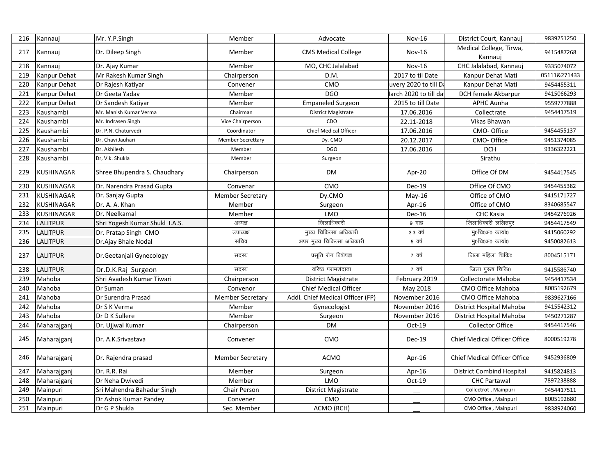| 216 | Kannauj           | Mr. Y.P.Singh                  | Member                   | Advocate                         | <b>Nov-16</b>         | District Court, Kannauj             | 9839251250   |
|-----|-------------------|--------------------------------|--------------------------|----------------------------------|-----------------------|-------------------------------------|--------------|
|     |                   |                                |                          |                                  |                       | Medical College, Tirwa,             |              |
| 217 | Kannauj           | Dr. Dileep Singh               | Member                   | <b>CMS Medical College</b>       | Nov-16                | Kannaui                             | 9415487268   |
| 218 | Kannauj           | Dr. Ajay Kumar                 | Member                   | MO, CHC Jalalabad                | <b>Nov-16</b>         | CHC Jalalabad, Kannauj              | 9335074072   |
| 219 | Kanpur Dehat      | Mr Rakesh Kumar Singh          | Chairperson              | D.M.                             | 2017 to til Date      | Kanpur Dehat Mati                   | 05111&271433 |
| 220 | Kanpur Dehat      | Dr Rajesh Katiyar              | Convener                 | <b>CMO</b>                       | uvery 2020 to till Da | Kanpur Dehat Mati                   | 9454455311   |
| 221 | Kanpur Dehat      | Dr Geeta Yadav                 | Member                   | <b>DGO</b>                       | arch 2020 to till da  | DCH female Akbarpur                 | 9415066293   |
| 222 | Kanpur Dehat      | Dr Sandesh Katiyar             | Member                   | <b>Empaneled Surgeon</b>         | 2015 to till Date     | <b>APHC Aunha</b>                   | 9559777888   |
| 223 | Kaushambi         | Mr. Manish Kumar Verma         | Chairman                 | District Magistrate              | 17.06.2016            | Collectrate                         | 9454417519   |
| 224 | Kaushambi         | Mr. Indrasen Singh             | Vice Chairperson         | CDO                              | 22.11-2018            | Vikas Bhawan                        |              |
| 225 | Kaushambi         | Dr. P.N. Chaturvedi            | Coordinator              | <b>Chief Medical Officer</b>     | 17.06.2016            | CMO-Office                          | 9454455137   |
| 226 | Kaushambi         | Dr. Chavi Jauhari              | <b>Member Secrettary</b> | Dy. CMO                          | 20.12.2017            | CMO-Office                          | 9451374085   |
| 227 | Kaushambi         | Dr. Akhilesh                   | Member                   | <b>DGO</b>                       | 17.06.2016            | <b>DCH</b>                          | 9336322221   |
| 228 | Kaushambi         | Dr, V.k. Shukla                | Member                   | Surgeon                          |                       | Sirathu                             |              |
| 229 | <b>KUSHINAGAR</b> | Shree Bhupendra S. Chaudhary   | Chairperson              | DM                               | Apr-20                | Office Of DM                        | 9454417545   |
| 230 | <b>KUSHINAGAR</b> | Dr. Narendra Prasad Gupta      | Convenar                 | CMO                              | Dec-19                | Office Of CMO                       | 9454455382   |
| 231 | <b>KUSHINAGAR</b> | Dr. Sanjay Gupta               | <b>Member Secretary</b>  | Dy.CMO                           | $May-16$              | Office of CMO                       | 9415171727   |
| 232 | <b>KUSHINAGAR</b> | Dr. A. A. Khan                 | Member                   | Surgeon                          | Apr-16                | Office of CMO                       | 8340685547   |
| 233 | <b>KUSHINAGAR</b> | Dr. Neelkamal                  | Member                   | <b>LMO</b>                       | Dec-16                | CHC Kasia                           | 9454276926   |
| 234 | <b>LALITPUR</b>   | Shri Yogesh Kumar Shukl I.A.S. | अध्यक्ष                  | जिलाधिकारी                       | 9 माह                 | जिलाधिकारी ललितपुर                  | 9454417549   |
| 235 | <b>LALITPUR</b>   | Dr. Pratap Singh CMO           | उपाध्यक्ष                | मुख्य चिकित्सा अधिकारी           | 3.3 वर्ष              | मु0चि0अ0 कार्या0                    | 9415060292   |
| 236 | <b>LALITPUR</b>   | Dr.Ajay Bhale Nodal            | सचिव                     | अपर मुख्य चिकित्सा अधिकारी       | 5 वर्ष                | मु०चि०अ० कार्या0                    | 9450082613   |
| 237 | <b>LALITPUR</b>   | Dr. Geetanjali Gynecology      | सदस्य                    | प्रसूति रोग बिशेषज्ञ             | 7 वर्ष                | जिला महिला चिकि0                    | 8004515171   |
| 238 | <b>LALITPUR</b>   | Dr.D.K.Raj Surgeon             | सदस्य                    | वरिष्ठ परामर्शदाता               | 7 वर्ष                | जिला पुरूष चिकि0                    | 9415586740   |
| 239 | Mahoba            | Shri Avadesh Kumar Tiwari      | Chairperson              | <b>District Magistrate</b>       | February 2019         | Collectorate Mahoba                 | 9454417534   |
| 240 | Mahoba            | Dr Suman                       | Convenor                 | <b>Chief Medical Officer</b>     | May 2018              | <b>CMO Office Mahoba</b>            | 8005192679   |
| 241 | Mahoba            | Dr Surendra Prasad             | <b>Member Secretary</b>  | Addl. Chief Medical Officer (FP) | November 2016         | <b>CMO Office Mahoba</b>            | 9839627166   |
| 242 | Mahoba            | Dr S K Verma                   | Member                   | Gynecologist                     | November 2016         | District Hospital Mahoba            | 9415542312   |
| 243 | Mahoba            | Dr D K Sullere                 | Member                   | Surgeon                          | November 2016         | District Hospital Mahoba            | 9450271287   |
| 244 | Maharajganj       | Dr. Ujjwal Kumar               | Chairperson              | <b>DM</b>                        | $Oct-19$              | <b>Collector Office</b>             | 9454417546   |
| 245 | Maharajganj       | Dr. A.K.Srivastava             | Convener                 | CMO                              | Dec-19                | <b>Chief Medical Officer Office</b> | 8000519278   |
| 246 | Maharajganj       | Dr. Rajendra prasad            | <b>Member Secretary</b>  | <b>ACMO</b>                      | Apr- $16$             | <b>Chief Medical Officer Office</b> | 9452936809   |
| 247 | Maharajganj       | Dr. R.R. Rai                   | Member                   | Surgeon                          | Apr-16                | <b>District Combind Hospital</b>    | 9415824813   |
| 248 | Maharajganj       | Dr Neha Dwivedi                | Member                   | <b>LMO</b>                       | Oct-19                | <b>CHC Partawal</b>                 | 7897238888   |
| 249 | Mainpuri          | Sri Mahendra Bahadur Singh     | Chair Person             | <b>District Magistrate</b>       |                       | Collectrot, Mainpuri                | 9454417511   |
| 250 | Mainpuri          | Dr Ashok Kumar Pandey          | Convener                 | <b>CMO</b>                       |                       | CMO Office, Mainpuri                | 8005192680   |
| 251 | Mainpuri          | Dr G P Shukla                  | Sec. Member              | ACMO (RCH)                       |                       | CMO Office, Mainpuri                | 9838924060   |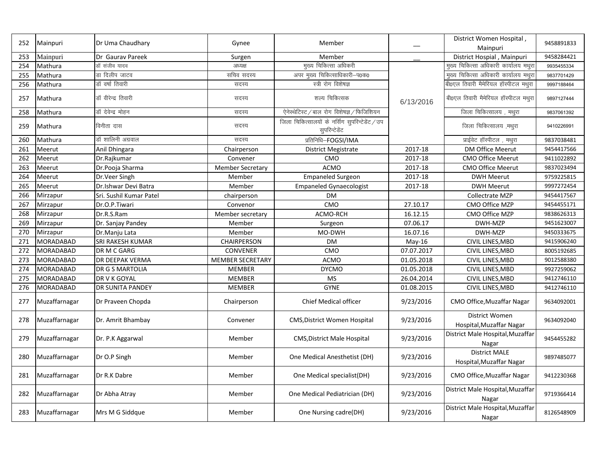| 252 | Mainpuri         | Dr Uma Chaudhary        | Gynee                   | Member                                                           |            | District Women Hospital,<br>Mainpuri             | 9458891833 |
|-----|------------------|-------------------------|-------------------------|------------------------------------------------------------------|------------|--------------------------------------------------|------------|
| 253 | Mainpuri         | Dr Gauray Pareek        | Surgen                  | Member                                                           |            | District Hospial, Mainpuri                       | 9458284421 |
| 254 | Mathura          | डॉ संजीव यादव           | अध्यक्ष                 | मुख्य चिकित्सा अधिकरी                                            |            | मुख्य चिकित्सा अधिकारी कार्यालय मथुरा            | 9935455334 |
| 255 | Mathura          | डा दिलीप जाटव           | सचिव सदस्य              | अपर मुख्य चिकित्साधिकारी-प0क0                                    |            | मुख्य चिकित्सा अधिकारी कार्यालय मथुरा            | 9837701429 |
| 256 | Mathura          | डॉ वर्षा तिवारी         | सदस्य                   | स्त्री रोग विशेषज्ञ                                              |            | बी0एल तिवारी मैमेरियल हॉस्पीटल मथुरा             | 9997188464 |
| 257 | Mathura          | डॉ वीरेन्द्र तिवारी     | सदस्य                   | शल्य चिकित्सक                                                    | 6/13/2016  | बी0एल तिवारी मैमेरियल हॉस्पीटल मथुरा             | 9897127444 |
| 258 | Mathura          | डॉ देवेन्द्र मोहन       | सदस्य                   | ऐनेस्थेटिस्ट / बाल रोग विशेषज्ञ / फिजिशियन                       |            | जिला चिकित्सालय, मथुरा                           | 9837061392 |
| 259 | Mathura          | विनीता दास              | सदस्य                   | जिला चिकित्सालयों के नर्सिंग सुपरिन्टेडेंट / उप<br>सुपरिन्टेडेंट |            | जिला चिकित्सालय, मथुरा                           | 9410226991 |
| 260 | Mathura          | डॉ शालिनी अग्रवाल       | सदस्य                   | प्रतिनिधि-FOGSI/IMA                                              |            | प्राईवेट हॉस्पीटल, मथुरा                         | 9837038481 |
| 261 | Meerut           | Anil Dhingara           | Chairperson             | <b>District Megistrate</b>                                       | 2017-18    | <b>DM Office Meerut</b>                          | 9454417566 |
| 262 | Meerut           | Dr.Rajkumar             | Convener                | <b>CMO</b>                                                       | 2017-18    | <b>CMO Office Meerut</b>                         | 9411022892 |
| 263 | Meerut           | Dr.Pooja Sharma         | <b>Member Secretary</b> | <b>ACMO</b>                                                      | 2017-18    | CMO Office Meerut                                | 9837023494 |
| 264 | Meerut           | Dr. Veer Singh          | Member                  | <b>Empaneled Surgeon</b>                                         | 2017-18    | <b>DWH Meerut</b>                                | 9759225815 |
| 265 | Meerut           | Dr.Ishwar Devi Batra    | Member                  | <b>Empaneled Gynaecologist</b>                                   | 2017-18    | <b>DWH Meerut</b>                                | 9997272454 |
| 266 | Mirzapur         | Sri. Sushil Kumar Patel | chairperson             | <b>DM</b>                                                        |            | Collectrate MZP                                  | 9454417567 |
| 267 | Mirzapur         | Dr.O.P.Tiwari           | Convenor                | CMO                                                              | 27.10.17   | CMO Office MZP                                   | 9454455171 |
| 268 | Mirzapur         | Dr.R.S.Ram              | Member secretary        | ACMO-RCH                                                         | 16.12.15   | CMO Office MZP                                   | 9838626313 |
| 269 | Mirzapur         | Dr. Sanjay Pandey       | Member                  | Surgeon                                                          | 07.06.17   | DWH-MZP                                          | 9451623007 |
| 270 | Mirzapur         | Dr.Manju Lata           | Member                  | MO-DWH                                                           | 16.07.16   | DWH-MZP                                          | 9450333675 |
| 271 | MORADABAD        | SRI RAKESH KUMAR        | CHAIRPERSON             | <b>DM</b>                                                        | $May-16$   | CIVIL LINES, MBD                                 | 9415906240 |
| 272 | MORADABAD        | DR M C GARG             | <b>CONVENER</b>         | CMO                                                              | 07.07.2017 | CIVIL LINES, MBD                                 | 8005192685 |
| 273 | MORADABAD        | <b>DR DEEPAK VERMA</b>  | <b>MEMBER SECRETARY</b> | <b>ACMO</b>                                                      | 01.05.2018 | CIVIL LINES, MBD                                 | 9012588380 |
| 274 | <b>MORADABAD</b> | DR G S MARTOLIA         | <b>MEMBER</b>           | <b>DYCMO</b>                                                     | 01.05.2018 | CIVIL LINES, MBD                                 | 9927259062 |
| 275 | MORADABAD        | DR V K GOYAL            | <b>MEMBER</b>           | <b>MS</b>                                                        | 26.04.2014 | CIVIL LINES, MBD                                 | 9412746110 |
| 276 | MORADABAD        | <b>DR SUNITA PANDEY</b> | <b>MEMBER</b>           | <b>GYNE</b>                                                      | 01.08.2015 | CIVIL LINES, MBD                                 | 9412746110 |
| 277 | Muzaffarnagar    | Dr Praveen Chopda       | Chairperson             | Chief Medical officer                                            | 9/23/2016  | CMO Office, Muzaffar Nagar                       | 9634092001 |
| 278 | Muzaffarnagar    | Dr. Amrit Bhambay       | Convener                | <b>CMS, District Women Hospital</b>                              | 9/23/2016  | District Women<br>Hospital, Muzaffar Nagar       | 9634092040 |
| 279 | Muzaffarnagar    | Dr. P.K Aggarwal        | Member                  | <b>CMS, District Male Hospital</b>                               | 9/23/2016  | District Male Hospital, Muzaffar<br>Nagar        | 9454455282 |
| 280 | Muzaffarnagar    | Dr O.P Singh            | Member                  | One Medical Anesthetist (DH)                                     | 9/23/2016  | <b>District MALE</b><br>Hospital, Muzaffar Nagar | 9897485077 |
| 281 | Muzaffarnagar    | Dr R.K Dabre            | Member                  | One Medical specialist(DH)                                       | 9/23/2016  | CMO Office, Muzaffar Nagar                       | 9412230368 |
| 282 | Muzaffarnagar    | Dr Abha Atray           | Member                  | One Medical Pediatrician (DH)                                    | 9/23/2016  | District Male Hospital, Muzaffar<br>Nagar        | 9719366414 |
| 283 | Muzaffarnagar    | Mrs M G Siddque         | Member                  | One Nursing cadre(DH)                                            | 9/23/2016  | District Male Hospital, Muzaffar<br>Nagar        | 8126548909 |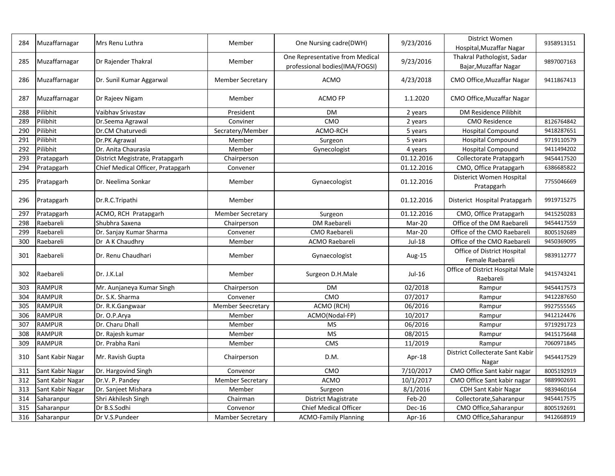| 284 | Muzaffarnagar    | Mrs Renu Luthra                   | Member                   | One Nursing cadre(DWH)                                            | 9/23/2016  | District Women<br>Hospital, Muzaffar Nagar          | 9358913151 |
|-----|------------------|-----------------------------------|--------------------------|-------------------------------------------------------------------|------------|-----------------------------------------------------|------------|
| 285 | Muzaffarnagar    | Dr Rajender Thakral               | Member                   | One Representative from Medical<br>professional bodies(IMA/FOGSI) | 9/23/2016  | Thakral Pathologist, Sadar<br>Bajar, Muzaffar Nagar | 9897007163 |
| 286 | Muzaffarnagar    | Dr. Sunil Kumar Aggarwal          | <b>Member Secretary</b>  | <b>ACMO</b>                                                       | 4/23/2018  | CMO Office, Muzaffar Nagar                          | 9411867413 |
| 287 | Muzaffarnagar    | Dr Rajeev Nigam                   | Member                   | <b>ACMO FP</b>                                                    | 1.1.2020   | CMO Office, Muzaffar Nagar                          |            |
| 288 | Pilibhit         | Vaibhav Srivastav                 | President                | <b>DM</b>                                                         | 2 years    | DM Residence Pilibhit                               |            |
| 289 | Pilibhit         | Dr.Seema Agrawal                  | Conviner                 | CMO                                                               | 2 years    | <b>CMO Residence</b>                                | 8126764842 |
| 290 | Pilibhit         | Dr.CM Chaturvedi                  | Secratery/Member         | ACMO-RCH                                                          | 5 years    | <b>Hospital Compound</b>                            | 9418287651 |
| 291 | Pilibhit         | Dr.PK Agrawal                     | Member                   | Surgeon                                                           | 5 years    | <b>Hospital Compound</b>                            | 9719110579 |
| 292 | Pilibhit         | Dr. Anita Chaurasia               | Member                   | Gynecologist                                                      | 4 years    | <b>Hospital Compound</b>                            | 9411494202 |
| 293 | Pratapgarh       | District Megistrate, Pratapgarh   | Chairperson              |                                                                   | 01.12.2016 | Collectorate Pratapgarh                             | 9454417520 |
| 294 | Pratapgarh       | Chief Medical Officer, Pratapgarh | Convener                 |                                                                   | 01.12.2016 | CMO, Office Pratapgarh                              | 6386685822 |
| 295 | Pratapgarh       | Dr. Neelima Sonkar                | Member                   | Gynaecologist                                                     | 01.12.2016 | Disterict Women Hospital<br>Pratapgarh              | 7755046669 |
| 296 | Pratapgarh       | Dr.R.C.Tripathi                   | Member                   |                                                                   | 01.12.2016 | Disterict Hospital Pratapgarh                       | 9919715275 |
| 297 | Pratapgarh       | ACMO, RCH Pratapgarh              | <b>Member Secretary</b>  | Surgeon                                                           | 01.12.2016 | CMO, Office Pratapgarh                              | 9415250283 |
| 298 | Raebareli        | Shubhra Saxena                    | Chairperson              | DM Raebareli                                                      | Mar-20     | Office of the DM Raebareli                          | 9454417559 |
| 299 | Raebareli        | Dr. Sanjay Kumar Sharma           | Convener                 | CMO Raebareli                                                     | Mar-20     | Office of the CMO Raebareli                         | 8005192689 |
| 300 | Raebareli        | Dr A K Chaudhry                   | Member                   | ACMO Raebareli                                                    | Jul-18     | Office of the CMO Raebareli                         | 9450369095 |
| 301 | Raebareli        | Dr. Renu Chaudhari                | Member                   | Gynaecologist                                                     | Aug-15     | Office of District Hospital<br>Female Raebareli     | 9839112777 |
| 302 | Raebareli        | Dr. J.K.Lal                       | Member                   | Surgeon D.H.Male                                                  | Jul-16     | Office of District Hospital Male<br>Raebareli       | 9415743241 |
| 303 | <b>RAMPUR</b>    | Mr. Aunjaneya Kumar Singh         | Chairperson              | <b>DM</b>                                                         | 02/2018    | Rampur                                              | 9454417573 |
| 304 | <b>RAMPUR</b>    | Dr. S.K. Sharma                   | Convener                 | CMO                                                               | 07/2017    | Rampur                                              | 9412287650 |
| 305 | <b>RAMPUR</b>    | Dr. R.K.Gangwaar                  | <b>Member Seecretary</b> | ACMO (RCH)                                                        | 06/2016    | Rampur                                              | 9927555565 |
| 306 | <b>RAMPUR</b>    | Dr. O.P.Arya                      | Member                   | ACMO(Nodal-FP)                                                    | 10/2017    | Rampur                                              | 9412124476 |
| 307 | RAMPUR           | Dr. Charu Dhall                   | Member                   | <b>MS</b>                                                         | 06/2016    | Rampur                                              | 9719291723 |
| 308 | <b>RAMPUR</b>    | Dr. Rajesh kumar                  | Member                   | <b>MS</b>                                                         | 08/2015    | Rampur                                              | 9415175648 |
| 309 | <b>RAMPUR</b>    | Dr. Prabha Rani                   | Member                   | <b>CMS</b>                                                        | 11/2019    | Rampur                                              | 7060971845 |
| 310 | Sant Kabir Nagar | Mr. Ravish Gupta                  | Chairperson              | D.M.                                                              | Apr-18     | District Collecterate Sant Kabir<br>Nagar           | 9454417529 |
| 311 | Sant Kabir Nagar | Dr. Hargovind Singh               | Convenor                 | CMO                                                               | 7/10/2017  | CMO Office Sant kabir nagar                         | 8005192919 |
| 312 | Sant Kabir Nagar | Dr.V. P. Pandey                   | <b>Member Secretary</b>  | <b>ACMO</b>                                                       | 10/1/2017  | CMO Office Sant kabir nagar                         | 9889902691 |
| 313 | Sant Kabir Nagar | Dr. Sanjeet Mishara               | Member                   | Surgeon                                                           | 8/1/2016   | CDH Sant Kabir Nagar                                | 9839460164 |
| 314 | Saharanpur       | Shri Akhilesh Singh               | Chairman                 | <b>District Magistrate</b>                                        | Feb-20     | Collectorate, Saharanpur                            | 9454417575 |
| 315 | Saharanpur       | Dr B.S.Sodhi                      | Convenor                 | Chief Medical Officer                                             | Dec-16     | CMO Office, Saharanpur                              | 8005192691 |
| 316 | Saharanpur       | Dr V.S.Pundeer                    | <b>Mamber Secretary</b>  | <b>ACMO-Family Planning</b>                                       | Apr-16     | CMO Office, Saharanpur                              | 9412668919 |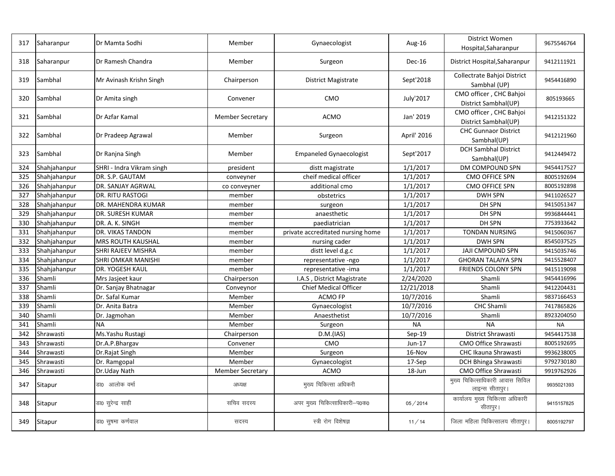| 317 | Saharanpur   | Dr Mamta Sodhi            | Member                  | Gynaecologist                     | Aug-16      | District Women<br>Hospital, Saharanpur             | 9675546764 |
|-----|--------------|---------------------------|-------------------------|-----------------------------------|-------------|----------------------------------------------------|------------|
| 318 | Saharanpur   | Dr Ramesh Chandra         | Member                  | Surgeon                           | Dec-16      | District Hospital, Saharanpur                      | 9412111921 |
| 319 | Sambhal      | Mr Avinash Krishn Singh   | Chairperson             | <b>District Magistrate</b>        | Sept'2018   | Collectrate Bahjoi District<br>Sambhal (UP)        | 9454416890 |
| 320 | Sambhal      | Dr Amita singh            | Convener                | <b>CMO</b>                        | July'2017   | CMO officer, CHC Bahjoi<br>District Sambhal(UP)    | 805193665  |
| 321 | Sambhal      | Dr Azfar Kamal            | <b>Member Secretary</b> | <b>ACMO</b>                       | Jan' 2019   | CMO officer, CHC Bahjoi<br>District Sambhal(UP)    | 9412151322 |
| 322 | Sambhal      | Dr Pradeep Agrawal        | Member                  | Surgeon                           | April' 2016 | <b>CHC Gunnaor District</b><br>Sambhal(UP)         | 9412121960 |
| 323 | Sambhal      | Dr Ranjna Singh           | Member                  | <b>Empaneled Gynaecologist</b>    | Sept'2017   | <b>DCH Sambhal District</b><br>Sambhal(UP)         | 9412449472 |
| 324 | Shahjahanpur | SHRI - Indra Vikram singh | president               | distt magistrate                  | 1/1/2017    | DM COMPOUND SPN                                    | 9454417527 |
| 325 | Shahjahanpur | DR. S.P. GAUTAM           | conveyner               | cheif medical officer             | 1/1/2017    | <b>CMO OFFICE SPN</b>                              | 8005192694 |
| 326 | Shahjahanpur | DR. SANJAY AGRWAL         | co conveyner            | additional cmo                    | 1/1/2017    | CMO OFFICE SPN                                     | 8005192898 |
| 327 | Shahjahanpur | <b>DR. RITU RASTOGI</b>   | member                  | obstetrics                        | 1/1/2017    | <b>DWH SPN</b>                                     | 9411026527 |
| 328 | Shahjahanpur | DR. MAHENDRA KUMAR        | member                  | surgeon                           | 1/1/2017    | DH SPN                                             | 9415051347 |
| 329 | Shahjahanpur | DR. SURESH KUMAR          | member                  | anaesthetic                       | 1/1/2017    | DH SPN                                             | 9936844441 |
| 330 | Shahjahanpur | DR. A. K. SINGH           | member                  | paediatrician                     | 1/1/2017    | DH SPN                                             | 7753933642 |
| 331 | Shahjahanpur | DR. VIKAS TANDON          | member                  | private accreditated nursing home | 1/1/2017    | <b>TONDAN NURSING</b>                              | 9415060367 |
| 332 | Shahjahanpur | MRS ROUTH KAUSHAL         | member                  | nursing cader                     | 1/1/2017    | <b>DWH SPN</b>                                     | 8545037525 |
| 333 | Shahjahanpur | SHRI RAJEEV MISHRA        | member                  | distt level d.g.c                 | 1/1/2017    | <b>JAJI CMPOUND SPN</b>                            | 9415035746 |
| 334 | Shahjahanpur | SHRI OMKAR MANISHI        | member                  | representative -ngo               | 1/1/2017    | <b>GHORAN TALAIYA SPN</b>                          | 9415528407 |
| 335 | Shahjahanpur | DR. YOGESH KAUL           | member                  | representative -ima               | 1/1/2017    | <b>FRIENDS COLONY SPN</b>                          | 9415119098 |
| 336 | Shamli       | Mrs Jasjeet kaur          | Chairperson             | I.A.S, District Magistrate        | 2/24/2020   | Shamli                                             | 9454416996 |
| 337 | Shamli       | Dr. Sanjay Bhatnagar      | Conveynor               | <b>Chief Medical Officer</b>      | 12/21/2018  | Shamli                                             | 9412204431 |
| 338 | Shamli       | Dr. Safal Kumar           | Member                  | ACMO FP                           | 10/7/2016   | Shamli                                             | 9837166453 |
| 339 | Shamli       | Dr. Anita Batra           | Member                  | Gynaecologist                     | 10/7/2016   | CHC Shamli                                         | 7417865826 |
| 340 | Shamli       | Dr. Jagmohan              | Member                  | Anaesthetist                      | 10/7/2016   | Shamli                                             | 8923204050 |
| 341 | Shamli       | <b>NA</b>                 | Member                  | Surgeon                           | <b>NA</b>   | <b>NA</b>                                          | <b>NA</b>  |
| 342 | Shrawasti    | Ms.Yashu Rustagi          | Chairperson             | D.M.(IAS)                         | $Sep-19$    | District Shrawasti                                 | 9454417538 |
| 343 | Shrawasti    | Dr.A.P.Bhargav            | Convener                | CMO                               | Jun-17      | <b>CMO Office Shrawasti</b>                        | 8005192695 |
| 344 | Shrawasti    | Dr.Rajat Singh            | Member                  | Surgeon                           | 16-Nov      | CHC Ikauna Shrawasti                               | 9936238005 |
| 345 | Shrawasti    | Dr. Ramgopal              | Member                  | Gynaecologist                     | 17-Sep      | DCH Bhinga Shrawasti                               | 9792730180 |
| 346 | Shrawasti    | Dr.Uday Nath              | <b>Member Secretary</b> | <b>ACMO</b>                       | 18-Jun      | CMO Office Shrawasti                               | 9919762926 |
| 347 | Sitapur      | डा0  आलोक वर्मा           | अध्यक्ष                 | मुख्य चिकित्सा अधिकरी             |             | मुख्य चिकित्साधिकारी आवास सिविल<br>लाइन्स सीतापुर। | 9935021393 |
| 348 | Sitapur      | डा0 सुरेन्द्र साही        | सचिव सदस्य              | अपर मुख्य चिकित्साधिकारी-प0क0     | 05/2014     | कार्यालय मुख्य चिकित्सा अधिकारी<br>सीतापुर।        | 9415157825 |
| 349 | Sitapur      | डा0 सुषमा कर्णवाल         | सदस्य                   | स्त्री रोग विशेषज्ञ               | 11/14       | जिला महिला चिकित्सालय सीतापुर।                     | 8005192797 |